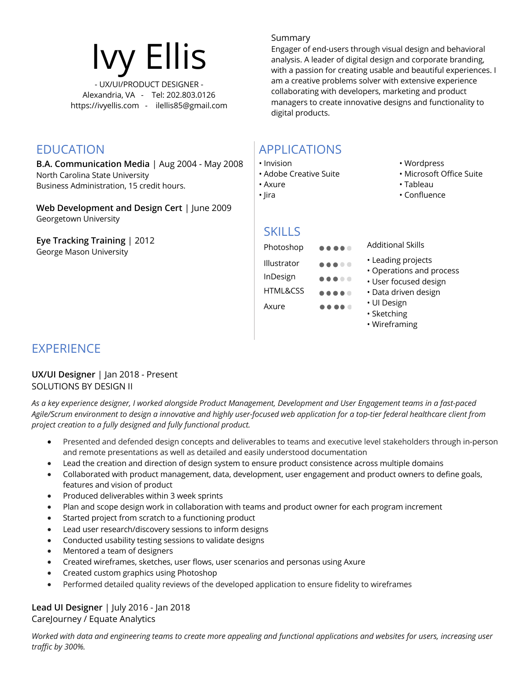

**B.A. Communication Media** | Aug 2004 - May 2008 North Carolina State University Business Administration, 15 credit hours.

**Web Development and Design Cert** | June 2009 Georgetown University

**Eye Tracking Training** | 2012 George Mason University

#### Summary

Engager of end-users through visual design and behavioral analysis. A leader of digital design and corporate branding, with a passion for creating usable and beautiful experiences. I am a creative problems solver with extensive experience collaborating with developers, marketing and product managers to create innovative designs and functionality to digital products.

## EDUCATION APPLICATIONS

- Invision
- Adobe Creative Suite
- Axure
- Jira

# **SKILLS**

Axure

- Photoshop **Additional Skills** Illustrator
- InDesign HTML&CSS
	- .....  $\begin{array}{ccccccccccccccccc} \bullet & \bullet & \bullet & \bullet & \bullet & \bullet & \bullet \end{array}$
- Wordpress
- Microsoft Office Suite
- Tableau
- Confluence
- 
- - Leading projects
		- Operations and process
		- User focused design
		- Data driven design
		- UI Design
		- Sketching
		- Wireframing

## **EXPERIENCE**

#### **UX/UI Designer** | Jan 2018 - Present SOLUTIONS BY DESIGN II

*As a key experience designer, I worked alongside Product Management, Development and User Engagement teams in a fast-paced Agile/Scrum environment to design a innovative and highly user-focused web application for a top-tier federal healthcare client from project creation to a fully designed and fully functional product.*

- Presented and defended design concepts and deliverables to teams and executive level stakeholders through in-person and remote presentations as well as detailed and easily understood documentation
- Lead the creation and direction of design system to ensure product consistence across multiple domains
- Collaborated with product management, data, development, user engagement and product owners to define goals, features and vision of product
- Produced deliverables within 3 week sprints
- Plan and scope design work in collaboration with teams and product owner for each program increment
- Started project from scratch to a functioning product
- Lead user research/discovery sessions to inform designs
- Conducted usability testing sessions to validate designs
- Mentored a team of designers
- Created wireframes, sketches, user flows, user scenarios and personas using Axure
- Created custom graphics using Photoshop
- Performed detailed quality reviews of the developed application to ensure fidelity to wireframes

#### **Lead UI Designer** | July 2016 - Jan 2018 CareJourney / Equate Analytics

*Worked with data and engineering teams to create more appealing and functional applications and websites for users, increasing user traffic by 300%.*